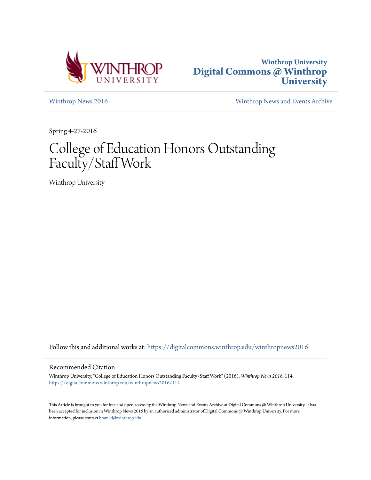



[Winthrop News 2016](https://digitalcommons.winthrop.edu/winthropnews2016?utm_source=digitalcommons.winthrop.edu%2Fwinthropnews2016%2F114&utm_medium=PDF&utm_campaign=PDFCoverPages) [Winthrop News and Events Archive](https://digitalcommons.winthrop.edu/winthropnewsarchives?utm_source=digitalcommons.winthrop.edu%2Fwinthropnews2016%2F114&utm_medium=PDF&utm_campaign=PDFCoverPages)

Spring 4-27-2016

# College of Education Honors Outstanding Faculty/Staff Work

Winthrop University

Follow this and additional works at: [https://digitalcommons.winthrop.edu/winthropnews2016](https://digitalcommons.winthrop.edu/winthropnews2016?utm_source=digitalcommons.winthrop.edu%2Fwinthropnews2016%2F114&utm_medium=PDF&utm_campaign=PDFCoverPages)

### Recommended Citation

Winthrop University, "College of Education Honors Outstanding Faculty/Staff Work" (2016). *Winthrop News 2016*. 114. [https://digitalcommons.winthrop.edu/winthropnews2016/114](https://digitalcommons.winthrop.edu/winthropnews2016/114?utm_source=digitalcommons.winthrop.edu%2Fwinthropnews2016%2F114&utm_medium=PDF&utm_campaign=PDFCoverPages)

This Article is brought to you for free and open access by the Winthrop News and Events Archive at Digital Commons @ Winthrop University. It has been accepted for inclusion in Winthrop News 2016 by an authorized administrator of Digital Commons @ Winthrop University. For more information, please contact [bramed@winthrop.edu](mailto:bramed@winthrop.edu).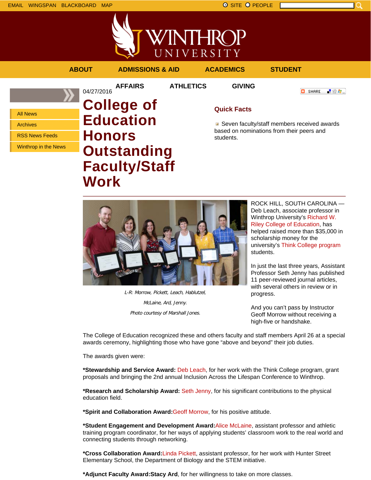

VINTHROP UNIVERSITY

**AFFAIRS ATHLETICS GIVING**

## **ABOUT ADMISSIONS & AID ACADEMICS STUDENT**

04/27/2016

All News

Archives

RSS News Feeds

Winthrop in the News

# **College of Education Honors Outstanding Faculty/Staff Work**

# **Quick Facts**

■ Seven faculty/staff members received awards based on nominations from their peers and students.



L-R: Morrow, Pickett, Leach, Hablutzel, McLaine, Ard, Jenny. Photo courtesy of Marshall Jones.

ROCK HILL, SOUTH CAROLINA — Deb Leach, associate professor in Winthrop University's Richard W. Riley College of Education, has helped raised more than \$35,000 in scholarship money for the university's Think College program students.

**C** SHARE

上没有。

In just the last three years, Assistant Professor Seth Jenny has published 11 peer-reviewed journal articles, with several others in review or in progress.

And you can't pass by Instructor Geoff Morrow without receiving a high-five or handshake.

The College of Education recognized these and others faculty and staff members April 26 at a special awards ceremony, highlighting those who have gone "above and beyond" their job duties.

The awards given were:

**\*Stewardship and Service Award:** Deb Leach, for her work with the Think College program, grant proposals and bringing the 2nd annual Inclusion Across the Lifespan Conference to Winthrop.

**\*Research and Scholarship Award:** Seth Jenny, for his significant contributions to the physical education field.

**\*Spirit and Collaboration Award:**Geoff Morrow, for his positive attitude.

**\*Student Engagement and Development Award:**Alice McLaine, assistant professor and athletic training program coordinator, for her ways of applying students' classroom work to the real world and connecting students through networking.

**\*Cross Collaboration Award:**Linda Pickett, assistant professor, for her work with Hunter Street Elementary School, the Department of Biology and the STEM initiative.

**\*Adjunct Faculty Award:Stacy Ard**, for her willingness to take on more classes.